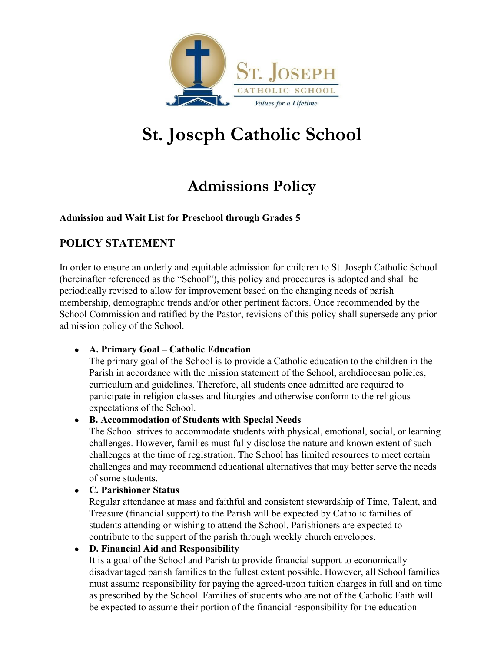

# **St. Joseph Catholic School**

# **Admissions Policy**

#### **Admission and Wait List for Preschool through Grades 5**

## **POLICY STATEMENT**

In order to ensure an orderly and equitable admission for children to St. Joseph Catholic School (hereinafter referenced as the "School"), this policy and procedures is adopted and shall be periodically revised to allow for improvement based on the changing needs of parish membership, demographic trends and/or other pertinent factors. Once recommended by the School Commission and ratified by the Pastor, revisions of this policy shall supersede any prior admission policy of the School.

### **● A. Primary Goal – Catholic Education**

The primary goal of the School is to provide a Catholic education to the children in the Parish in accordance with the mission statement of the School, archdiocesan policies, curriculum and guidelines. Therefore, all students once admitted are required to participate in religion classes and liturgies and otherwise conform to the religious expectations of the School.

#### **● B. Accommodation of Students with Special Needs**

The School strives to accommodate students with physical, emotional, social, or learning challenges. However, families must fully disclose the nature and known extent of such challenges at the time of registration. The School has limited resources to meet certain challenges and may recommend educational alternatives that may better serve the needs of some students.

#### **● C. Parishioner Status**

Regular attendance at mass and faithful and consistent stewardship of Time, Talent, and Treasure (financial support) to the Parish will be expected by Catholic families of students attending or wishing to attend the School. Parishioners are expected to contribute to the support of the parish through weekly church envelopes.

#### **● D. Financial Aid and Responsibility**

It is a goal of the School and Parish to provide financial support to economically disadvantaged parish families to the fullest extent possible. However, all School families must assume responsibility for paying the agreed-upon tuition charges in full and on time as prescribed by the School. Families of students who are not of the Catholic Faith will be expected to assume their portion of the financial responsibility for the education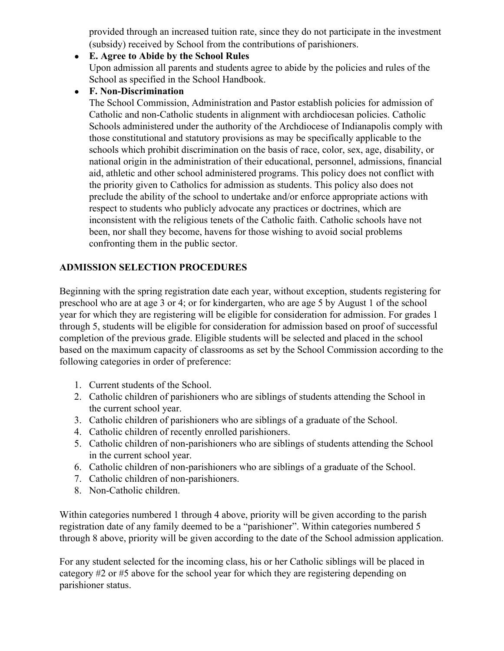provided through an increased tuition rate, since they do not participate in the investment (subsidy) received by School from the contributions of parishioners.

- **● E. Agree to Abide by the School Rules** Upon admission all parents and students agree to abide by the policies and rules of the School as specified in the School Handbook.
- **● F. Non-Discrimination**

The School Commission, Administration and Pastor establish policies for admission of Catholic and non-Catholic students in alignment with archdiocesan policies. Catholic Schools administered under the authority of the Archdiocese of Indianapolis comply with those constitutional and statutory provisions as may be specifically applicable to the schools which prohibit discrimination on the basis of race, color, sex, age, disability, or national origin in the administration of their educational, personnel, admissions, financial aid, athletic and other school administered programs. This policy does not conflict with the priority given to Catholics for admission as students. This policy also does not preclude the ability of the school to undertake and/or enforce appropriate actions with respect to students who publicly advocate any practices or doctrines, which are inconsistent with the religious tenets of the Catholic faith. Catholic schools have not been, nor shall they become, havens for those wishing to avoid social problems confronting them in the public sector.

#### **ADMISSION SELECTION PROCEDURES**

Beginning with the spring registration date each year, without exception, students registering for preschool who are at age 3 or 4; or for kindergarten, who are age 5 by August 1 of the school year for which they are registering will be eligible for consideration for admission. For grades 1 through 5, students will be eligible for consideration for admission based on proof of successful completion of the previous grade. Eligible students will be selected and placed in the school based on the maximum capacity of classrooms as set by the School Commission according to the following categories in order of preference:

- 1. Current students of the School.
- 2. Catholic children of parishioners who are siblings of students attending the School in the current school year.
- 3. Catholic children of parishioners who are siblings of a graduate of the School.
- 4. Catholic children of recently enrolled parishioners.
- 5. Catholic children of non-parishioners who are siblings of students attending the School in the current school year.
- 6. Catholic children of non-parishioners who are siblings of a graduate of the School.
- 7. Catholic children of non-parishioners.
- 8. Non-Catholic children.

Within categories numbered 1 through 4 above, priority will be given according to the parish registration date of any family deemed to be a "parishioner". Within categories numbered 5 through 8 above, priority will be given according to the date of the School admission application.

For any student selected for the incoming class, his or her Catholic siblings will be placed in category #2 or #5 above for the school year for which they are registering depending on parishioner status.